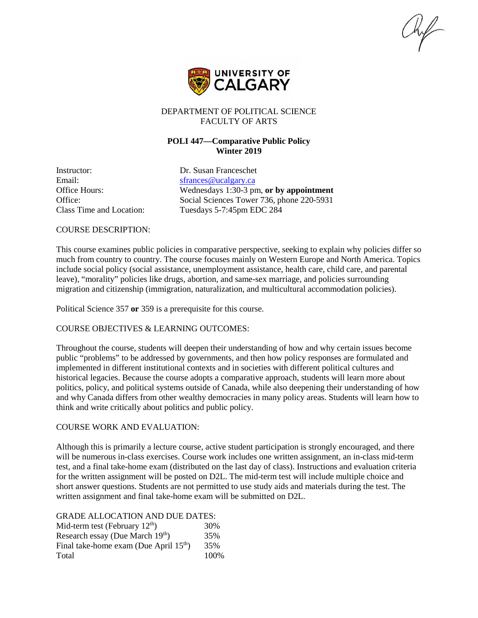$\mathcal{H}_{\mathcal{F}}$ 



## DEPARTMENT OF POLITICAL SCIENCE FACULTY OF ARTS

# **POLI 447—Comparative Public Policy Winter 2019**

Instructor: Dr. Susan Franceschet Email: [sfrances@ucalgary.ca](mailto:sfrances@ucalgary.ca)

Office Hours: Wednesdays 1:30-3 pm, **or by appointment** Office: Social Sciences Tower 736, phone 220-5931 Class Time and Location: Tuesdays 5-7:45pm EDC 284

## COURSE DESCRIPTION:

This course examines public policies in comparative perspective, seeking to explain why policies differ so much from country to country. The course focuses mainly on Western Europe and North America. Topics include social policy (social assistance, unemployment assistance, health care, child care, and parental leave), "morality" policies like drugs, abortion, and same-sex marriage, and policies surrounding migration and citizenship (immigration, naturalization, and multicultural accommodation policies).

Political Science 357 **or** 359 is a prerequisite for this course.

## COURSE OBJECTIVES & LEARNING OUTCOMES:

Throughout the course, students will deepen their understanding of how and why certain issues become public "problems" to be addressed by governments, and then how policy responses are formulated and implemented in different institutional contexts and in societies with different political cultures and historical legacies. Because the course adopts a comparative approach, students will learn more about politics, policy, and political systems outside of Canada, while also deepening their understanding of how and why Canada differs from other wealthy democracies in many policy areas. Students will learn how to think and write critically about politics and public policy.

## COURSE WORK AND EVALUATION:

Although this is primarily a lecture course, active student participation is strongly encouraged, and there will be numerous in-class exercises. Course work includes one written assignment, an in-class mid-term test, and a final take-home exam (distributed on the last day of class). Instructions and evaluation criteria for the written assignment will be posted on D2L. The mid-term test will include multiple choice and short answer questions. Students are not permitted to use study aids and materials during the test. The written assignment and final take-home exam will be submitted on D2L.

## GRADE ALLOCATION AND DUE DATES:

| Mid-term test (February $12th$ )                   | 30%  |
|----------------------------------------------------|------|
| Research essay (Due March 19 <sup>th</sup> )       | 35%  |
| Final take-home exam (Due April 15 <sup>th</sup> ) | 35%  |
| Total                                              | 100% |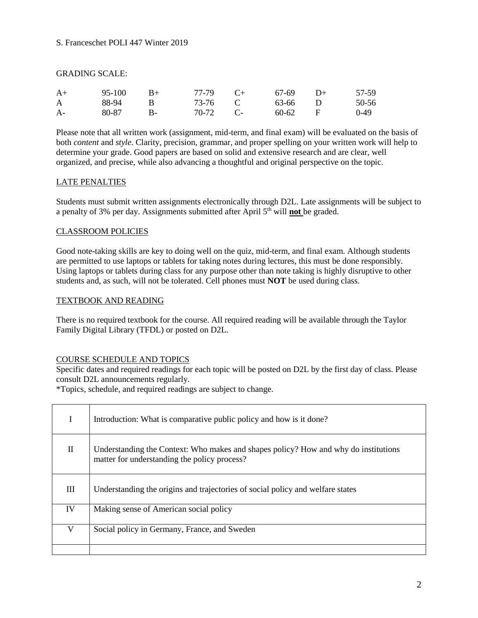## GRADING SCALE:

| $A+$         | 95-100 | $R+$      | 77-79 | $C_{+}$   | 67-69   | $\Box$ | 57-59  |
|--------------|--------|-----------|-------|-----------|---------|--------|--------|
| $\mathsf{A}$ | 88-94  | R         | 73-76 |           | 63-66 D |        | 50-56  |
| $A-$         | 80-87  | <b>B-</b> | 70-72 | $\sim$ C- | 60-62   | – F    | $0-49$ |

Please note that all written work (assignment, mid-term, and final exam) will be evaluated on the basis of both *content* and *style*. Clarity, precision, grammar, and proper spelling on your written work will help to determine your grade. Good papers are based on solid and extensive research and are clear, well organized, and precise, while also advancing a thoughtful and original perspective on the topic.

## LATE PENALTIES

Students must submit written assignments electronically through D2L. Late assignments will be subject to a penalty of 3% per day. Assignments submitted after April 5th will **not** be graded.

## CLASSROOM POLICIES

Good note-taking skills are key to doing well on the quiz, mid-term, and final exam. Although students are permitted to use laptops or tablets for taking notes during lectures, this must be done responsibly. Using laptops or tablets during class for any purpose other than note taking is highly disruptive to other students and, as such, will not be tolerated. Cell phones must **NOT** be used during class.

## TEXTBOOK AND READING

There is no required textbook for the course. All required reading will be available through the Taylor Family Digital Library (TFDL) or posted on D2L.

## COURSE SCHEDULE AND TOPICS

Specific dates and required readings for each topic will be posted on D2L by the first day of class. Please consult D2L announcements regularly.

\*Topics, schedule, and required readings are subject to change.

| I  | Introduction: What is comparative public policy and how is it done?                                                                 |
|----|-------------------------------------------------------------------------------------------------------------------------------------|
| П  | Understanding the Context: Who makes and shapes policy? How and why do institutions<br>matter for understanding the policy process? |
| Ш  | Understanding the origins and trajectories of social policy and welfare states                                                      |
| IV | Making sense of American social policy                                                                                              |
| V  | Social policy in Germany, France, and Sweden                                                                                        |
|    |                                                                                                                                     |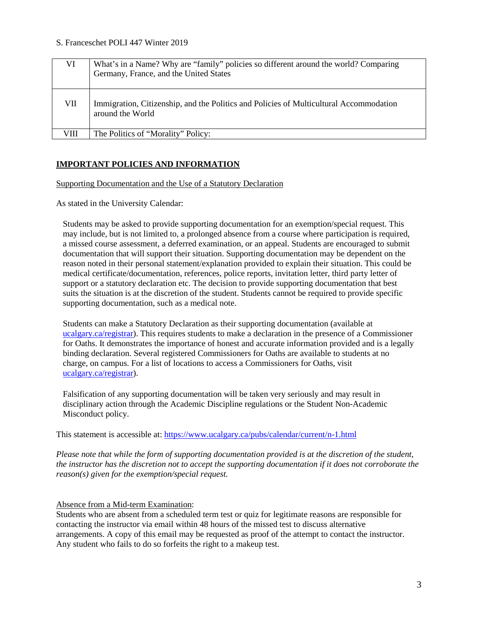| VI   | What's in a Name? Why are "family" policies so different around the world? Comparing<br>Germany, France, and the United States |
|------|--------------------------------------------------------------------------------------------------------------------------------|
| VII  | Immigration, Citizenship, and the Politics and Policies of Multicultural Accommodation<br>around the World                     |
| VIII | The Politics of "Morality" Policy:                                                                                             |

## **IMPORTANT POLICIES AND INFORMATION**

### Supporting Documentation and the Use of a Statutory Declaration

As stated in the University Calendar:

Students may be asked to provide supporting documentation for an exemption/special request. This may include, but is not limited to, a prolonged absence from a course where participation is required, a missed course assessment, a deferred examination, or an appeal. Students are encouraged to submit documentation that will support their situation. Supporting documentation may be dependent on the reason noted in their personal statement/explanation provided to explain their situation. This could be medical certificate/documentation, references, police reports, invitation letter, third party letter of support or a statutory declaration etc. The decision to provide supporting documentation that best suits the situation is at the discretion of the student. Students cannot be required to provide specific supporting documentation, such as a medical note.

Students can make a Statutory Declaration as their supporting documentation (available at [ucalgary.ca/registrar\)](http://www.ucalgary.ca/registrar). This requires students to make a declaration in the presence of a Commissioner for Oaths. It demonstrates the importance of honest and accurate information provided and is a legally binding declaration. Several registered Commissioners for Oaths are available to students at no charge, on campus. For a list of locations to access a Commissioners for Oaths, visit [ucalgary.ca/registrar\)](http://www.ucalgary.ca/registrar).

Falsification of any supporting documentation will be taken very seriously and may result in disciplinary action through the Academic Discipline regulations or the Student Non-Academic Misconduct policy.

This statement is accessible at:<https://www.ucalgary.ca/pubs/calendar/current/n-1.html>

*Please note that while the form of supporting documentation provided is at the discretion of the student, the instructor has the discretion not to accept the supporting documentation if it does not corroborate the reason(s) given for the exemption/special request.*

## Absence from a Mid-term Examination:

Students who are absent from a scheduled term test or quiz for legitimate reasons are responsible for contacting the instructor via email within 48 hours of the missed test to discuss alternative arrangements. A copy of this email may be requested as proof of the attempt to contact the instructor. Any student who fails to do so forfeits the right to a makeup test.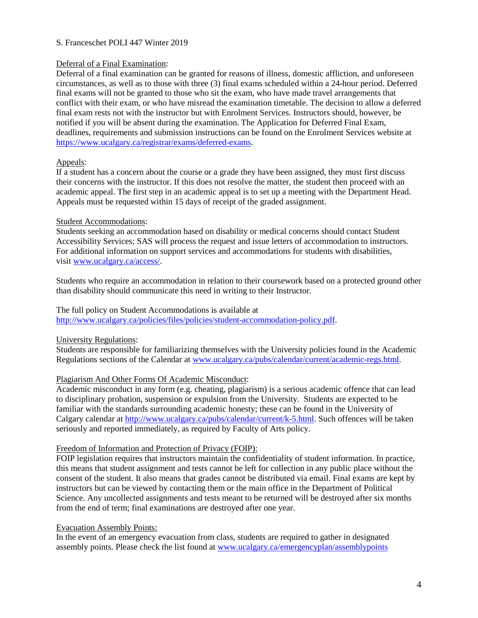## Deferral of a Final Examination:

Deferral of a final examination can be granted for reasons of illness, domestic affliction, and unforeseen circumstances, as well as to those with three (3) final exams scheduled within a 24-hour period. Deferred final exams will not be granted to those who sit the exam, who have made travel arrangements that conflict with their exam, or who have misread the examination timetable. The decision to allow a deferred final exam rests not with the instructor but with Enrolment Services. Instructors should, however, be notified if you will be absent during the examination. The Application for Deferred Final Exam, deadlines, requirements and submission instructions can be found on the Enrolment Services website at [https://www.ucalgary.ca/registrar/exams/deferred-exams.](https://www.ucalgary.ca/registrar/exams/deferred-exams)

## Appeals:

If a student has a concern about the course or a grade they have been assigned, they must first discuss their concerns with the instructor. If this does not resolve the matter, the student then proceed with an academic appeal. The first step in an academic appeal is to set up a meeting with the Department Head. Appeals must be requested within 15 days of receipt of the graded assignment.

## Student Accommodations:

Students seeking an accommodation based on disability or medical concerns should contact Student Accessibility Services; SAS will process the request and issue letters of accommodation to instructors. For additional information on support services and accommodations for students with disabilities, visit [www.ucalgary.ca/access/.](http://www.ucalgary.ca/access/)

Students who require an accommodation in relation to their coursework based on a protected ground other than disability should communicate this need in writing to their Instructor.

# The full policy on Student Accommodations is available at

[http://www.ucalgary.ca/policies/files/policies/student-accommodation-policy.pdf.](http://www.ucalgary.ca/policies/files/policies/student-accommodation-policy.pdf)

University Regulations:

Students are responsible for familiarizing themselves with the University policies found in the Academic Regulations sections of the Calendar a[t www.ucalgary.ca/pubs/calendar/current/academic-regs.html.](http://www.ucalgary.ca/pubs/calendar/current/academic-regs.html)

## Plagiarism And Other Forms Of Academic Misconduct:

Academic misconduct in any form (e.g. cheating, plagiarism) is a serious academic offence that can lead to disciplinary probation, suspension or expulsion from the University. Students are expected to be familiar with the standards surrounding academic honesty; these can be found in the University of Calgary calendar at [http://www.ucalgary.ca/pubs/calendar/current/k-5.html.](http://www.ucalgary.ca/pubs/calendar/current/k-5.html) Such offences will be taken seriously and reported immediately, as required by Faculty of Arts policy.

## Freedom of Information and Protection of Privacy (FOIP):

FOIP legislation requires that instructors maintain the confidentiality of student information. In practice, this means that student assignment and tests cannot be left for collection in any public place without the consent of the student. It also means that grades cannot be distributed via email. Final exams are kept by instructors but can be viewed by contacting them or the main office in the Department of Political Science. Any uncollected assignments and tests meant to be returned will be destroyed after six months from the end of term; final examinations are destroyed after one year.

## Evacuation Assembly Points:

In the event of an emergency evacuation from class, students are required to gather in designated assembly points. Please check the list found at [www.ucalgary.ca/emergencyplan/assemblypoints](http://www.ucalgary.ca/emergencyplan/assemblypoints)